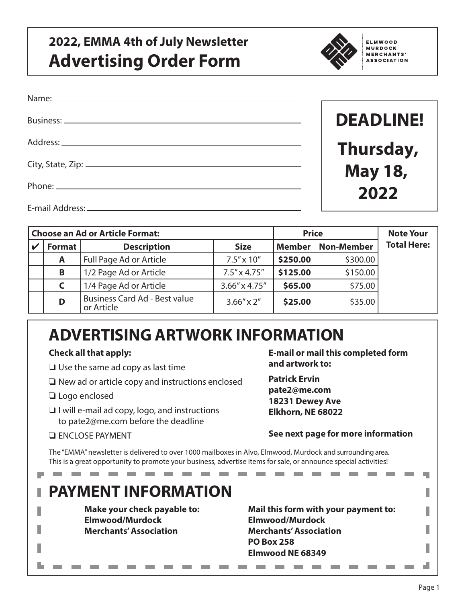## **2022, EMMA 4th of July Newsletter Advertising Order Form**



**ELMWOOD MURDOCK** MERCHANTS' **ASSOCIATION** 

| Business: ____________________ | <b>DEADLINE!</b> |
|--------------------------------|------------------|
|                                | Thursday,        |
|                                | <b>May 18,</b>   |
|                                | 2022             |
| E-mail Address: ____________   |                  |

| Choose an Ad or Article Format: |               |                                                    | <b>Price</b>           |               | <b>Note Your</b>  |                    |
|---------------------------------|---------------|----------------------------------------------------|------------------------|---------------|-------------------|--------------------|
|                                 | <b>Format</b> | <b>Description</b>                                 | <b>Size</b>            | <b>Member</b> | <b>Non-Member</b> | <b>Total Here:</b> |
|                                 | A             | Full Page Ad or Article                            | $7.5'' \times 10''$    | \$250.00      | \$300.00          |                    |
|                                 | В             | 1/2 Page Ad or Article                             | $7.5'' \times 4.75''$  | \$125.00      | \$150.00          |                    |
|                                 |               | 1/4 Page Ad or Article                             | $3.66'' \times 4.75''$ | \$65.00       | \$75.00           |                    |
|                                 | D             | <b>Business Card Ad - Best value</b><br>or Article | $3.66'' \times 2''$    | \$25.00       | \$35.00           |                    |

# **ADVERTISING ARTWORK INFORMATION**

#### **Check all that apply:**

- ❏ Use the same ad copy as last time
- ❏ New ad or article copy and instructions enclosed
- ❏ Logo enclosed

ı

Π

n.

- ❏ I will e-mail ad copy, logo, and instructions to pate2@me.com before the deadline
- ❏ ENCLOSE PAYMENT

**E-mail or mail this completed form and artwork to:**

**Patrick Ervin pate2@me.com 18231 Dewey Ave Elkhorn, NE 68022**

#### **See next page for more information**

**Contract** 

The "EMMA" newsletter is delivered to over 1000 mailboxes in Alvo, Elmwood, Murdock and surrounding area. This is a great opportunity to promote your business, advertise items for sale, or announce special activities!

--------------

### **PAYMENT INFORMATION**

**Make your check payable to: Elmwood/Murdock Merchants'Association**

**Mail this form with your payment to: Elmwood/Murdock Merchants'Association PO Box 258 Elmwood NE 68349**

**Contract Contract Contract** 

**Contract Contract** 

۳

п

П

ı

ı

d.